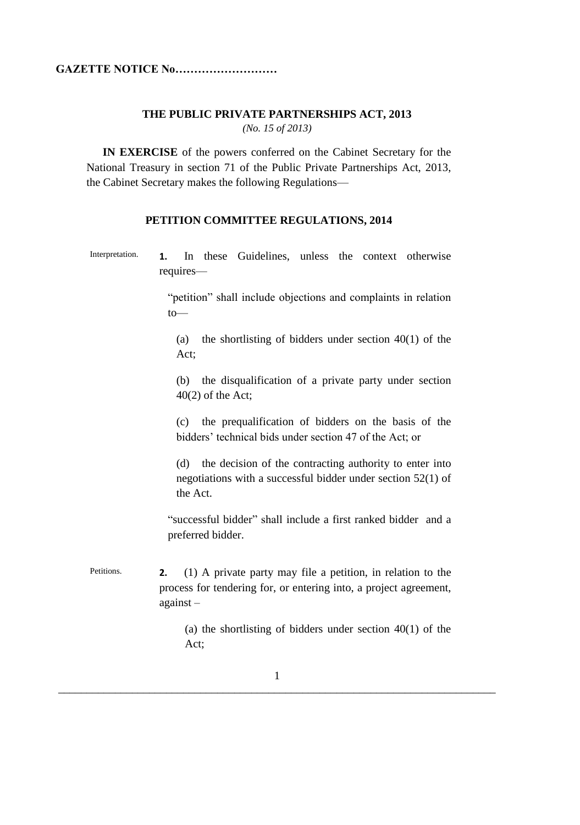### **THE PUBLIC PRIVATE PARTNERSHIPS ACT, 2013**

*(No. 15 of 2013)*

**IN EXERCISE** of the powers conferred on the Cabinet Secretary for the National Treasury in section 71 of the Public Private Partnerships Act, 2013, the Cabinet Secretary makes the following Regulations—

### **PETITION COMMITTEE REGULATIONS, 2014**

Interpretation. **1.** In these Guidelines, unless the context otherwise requires—

> "petition" shall include objections and complaints in relation to—

(a) the shortlisting of bidders under section  $40(1)$  of the Act;

(b) the disqualification of a private party under section  $40(2)$  of the Act;

(c) the prequalification of bidders on the basis of the bidders' technical bids under section 47 of the Act; or

(d) the decision of the contracting authority to enter into negotiations with a successful bidder under section 52(1) of the Act.

"successful bidder" shall include a first ranked bidder and a preferred bidder.

Petitions. **2.** (1) A private party may file a petition, in relation to the process for tendering for, or entering into, a project agreement, against –

> (a) the shortlisting of bidders under section 40(1) of the Act;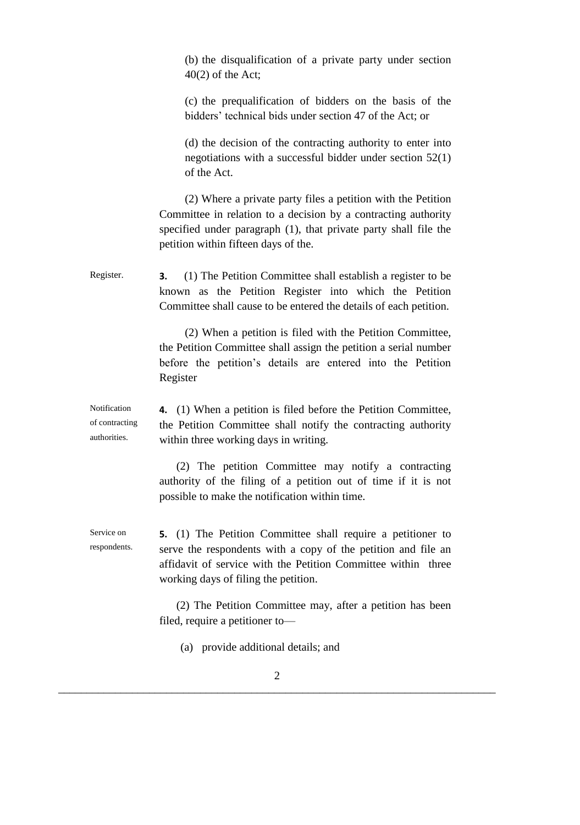(b) the disqualification of a private party under section 40(2) of the Act;

(c) the prequalification of bidders on the basis of the bidders' technical bids under section 47 of the Act; or

(d) the decision of the contracting authority to enter into negotiations with a successful bidder under section 52(1) of the Act.

(2) Where a private party files a petition with the Petition Committee in relation to a decision by a contracting authority specified under paragraph (1), that private party shall file the petition within fifteen days of the.

Register. **3.** (1) The Petition Committee shall establish a register to be known as the Petition Register into which the Petition Committee shall cause to be entered the details of each petition.

> (2) When a petition is filed with the Petition Committee, the Petition Committee shall assign the petition a serial number before the petition's details are entered into the Petition Register

Notification of contracting authorities. **4.** (1) When a petition is filed before the Petition Committee, the Petition Committee shall notify the contracting authority within three working days in writing.

> (2) The petition Committee may notify a contracting authority of the filing of a petition out of time if it is not possible to make the notification within time.

Service on respondents. **5.** (1) The Petition Committee shall require a petitioner to serve the respondents with a copy of the petition and file an affidavit of service with the Petition Committee within three working days of filing the petition.

> (2) The Petition Committee may, after a petition has been filed, require a petitioner to—

(a) provide additional details; and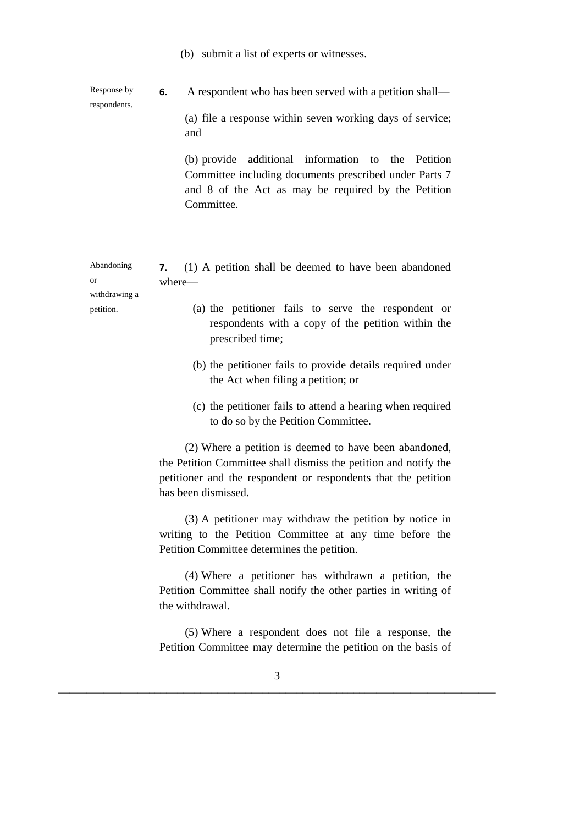(b) submit a list of experts or witnesses.

Response by respondents. **6.** A respondent who has been served with a petition shall— (a) file a response within seven working days of service;

and

(b) provide additional information to the Petition Committee including documents prescribed under Parts 7 and 8 of the Act as may be required by the Petition Committee.

| Abandoning    | 7. (1) A petition shall be deemed to have been abandoned |  |  |  |                                                     |  |
|---------------|----------------------------------------------------------|--|--|--|-----------------------------------------------------|--|
| or            | where—                                                   |  |  |  |                                                     |  |
| withdrawing a |                                                          |  |  |  |                                                     |  |
| petition.     |                                                          |  |  |  | (a) the petitioner fails to serve the respondent or |  |

- (a) the petitioner fails to serve the respondent or respondents with a copy of the petition within the prescribed time;
- (b) the petitioner fails to provide details required under the Act when filing a petition; or
- (c) the petitioner fails to attend a hearing when required to do so by the Petition Committee.

(2) Where a petition is deemed to have been abandoned, the Petition Committee shall dismiss the petition and notify the petitioner and the respondent or respondents that the petition has been dismissed.

(3) A petitioner may withdraw the petition by notice in writing to the Petition Committee at any time before the Petition Committee determines the petition.

(4) Where a petitioner has withdrawn a petition, the Petition Committee shall notify the other parties in writing of the withdrawal.

(5) Where a respondent does not file a response, the Petition Committee may determine the petition on the basis of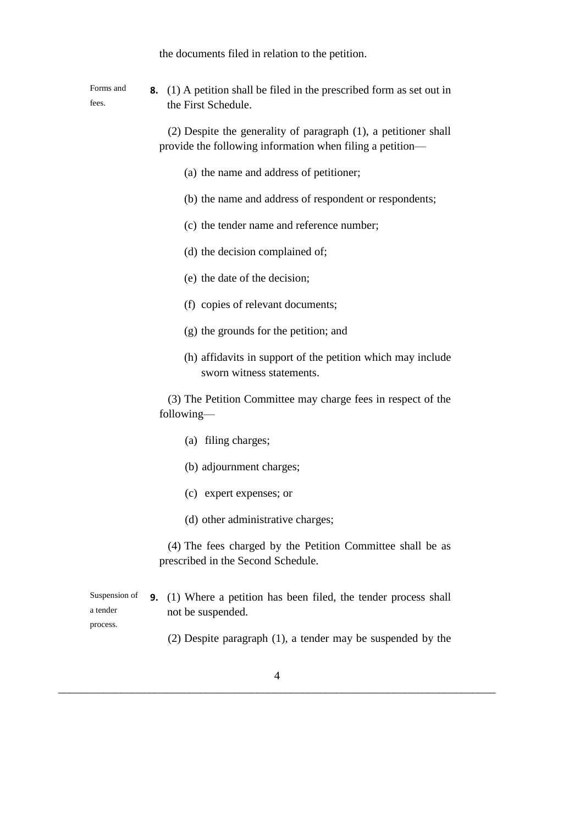the documents filed in relation to the petition.

Forms and fees. **8.** (1) A petition shall be filed in the prescribed form as set out in the First Schedule.

> (2) Despite the generality of paragraph (1), a petitioner shall provide the following information when filing a petition—

- (a) the name and address of petitioner;
- (b) the name and address of respondent or respondents;
- (c) the tender name and reference number;
- (d) the decision complained of;
- (e) the date of the decision;
- (f) copies of relevant documents;
- (g) the grounds for the petition; and
- (h) affidavits in support of the petition which may include sworn witness statements.

(3) The Petition Committee may charge fees in respect of the following—

- (a) filing charges;
- (b) adjournment charges;
- (c) expert expenses; or
- (d) other administrative charges;

(4) The fees charged by the Petition Committee shall be as prescribed in the Second Schedule.

Suspension of a tender **9.** (1) Where a petition has been filed, the tender process shall not be suspended.

process.

(2) Despite paragraph (1), a tender may be suspended by the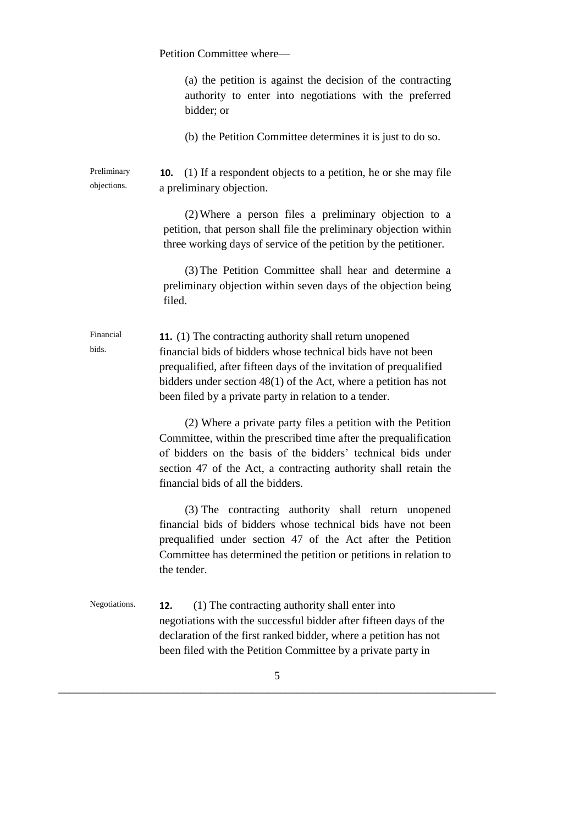|                            | Petition Committee where-                                                                                                                                                                                                                                                                                                            |  |  |
|----------------------------|--------------------------------------------------------------------------------------------------------------------------------------------------------------------------------------------------------------------------------------------------------------------------------------------------------------------------------------|--|--|
|                            | (a) the petition is against the decision of the contracting<br>authority to enter into negotiations with the preferred<br>bidder; or                                                                                                                                                                                                 |  |  |
|                            | (b) the Petition Committee determines it is just to do so.                                                                                                                                                                                                                                                                           |  |  |
| Preliminary<br>objections. | (1) If a respondent objects to a petition, he or she may file<br>10.<br>a preliminary objection.                                                                                                                                                                                                                                     |  |  |
|                            | (2) Where a person files a preliminary objection to a<br>petition, that person shall file the preliminary objection within<br>three working days of service of the petition by the petitioner.                                                                                                                                       |  |  |
|                            | (3) The Petition Committee shall hear and determine a<br>preliminary objection within seven days of the objection being<br>filed.                                                                                                                                                                                                    |  |  |
| Financial<br>bids.         | <b>11.</b> (1) The contracting authority shall return unopened<br>financial bids of bidders whose technical bids have not been<br>prequalified, after fifteen days of the invitation of prequalified<br>bidders under section $48(1)$ of the Act, where a petition has not<br>been filed by a private party in relation to a tender. |  |  |
|                            | (2) Where a private party files a petition with the Petition<br>Committee, within the prescribed time after the prequalification<br>of bidders on the basis of the bidders' technical bids under<br>section 47 of the Act, a contracting authority shall retain the<br>financial bids of all the bidders.                            |  |  |
|                            | (3) The contracting authority shall return unopened<br>financial bids of bidders whose technical bids have not been<br>prequalified under section 47 of the Act after the Petition<br>Committee has determined the petition or petitions in relation to<br>the tender.                                                               |  |  |
| Negotiations.              | (1) The contracting authority shall enter into<br>12.<br>negotiations with the successful bidder after fifteen days of the<br>declaration of the first ranked bidder, where a petition has not<br>been filed with the Petition Committee by a private party in                                                                       |  |  |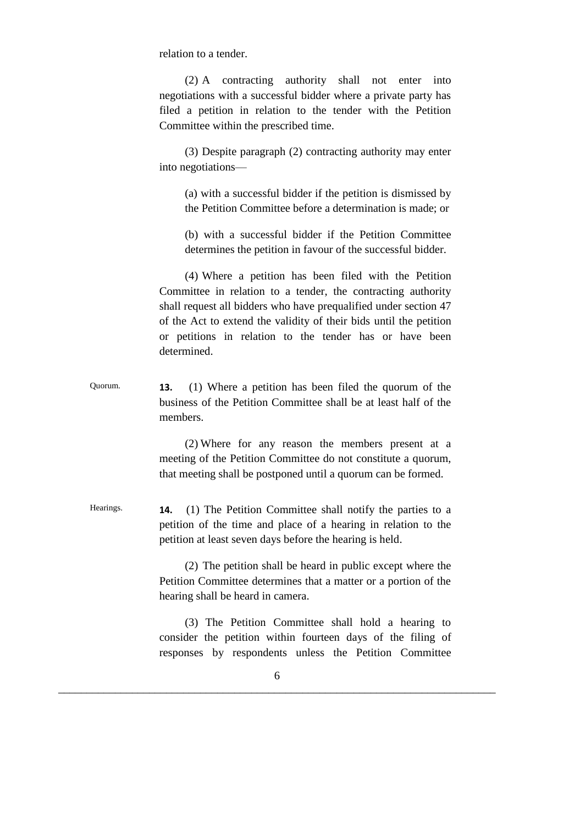relation to a tender.

(2) A contracting authority shall not enter into negotiations with a successful bidder where a private party has filed a petition in relation to the tender with the Petition Committee within the prescribed time.

(3) Despite paragraph (2) contracting authority may enter into negotiations—

(a) with a successful bidder if the petition is dismissed by the Petition Committee before a determination is made; or

(b) with a successful bidder if the Petition Committee determines the petition in favour of the successful bidder.

(4) Where a petition has been filed with the Petition Committee in relation to a tender, the contracting authority shall request all bidders who have prequalified under section 47 of the Act to extend the validity of their bids until the petition or petitions in relation to the tender has or have been determined.

Quorum. **13.** (1) Where a petition has been filed the quorum of the business of the Petition Committee shall be at least half of the members.

> (2) Where for any reason the members present at a meeting of the Petition Committee do not constitute a quorum, that meeting shall be postponed until a quorum can be formed.

Hearings. **14.** (1) The Petition Committee shall notify the parties to a petition of the time and place of a hearing in relation to the petition at least seven days before the hearing is held.

> (2) The petition shall be heard in public except where the Petition Committee determines that a matter or a portion of the hearing shall be heard in camera.

> (3) The Petition Committee shall hold a hearing to consider the petition within fourteen days of the filing of responses by respondents unless the Petition Committee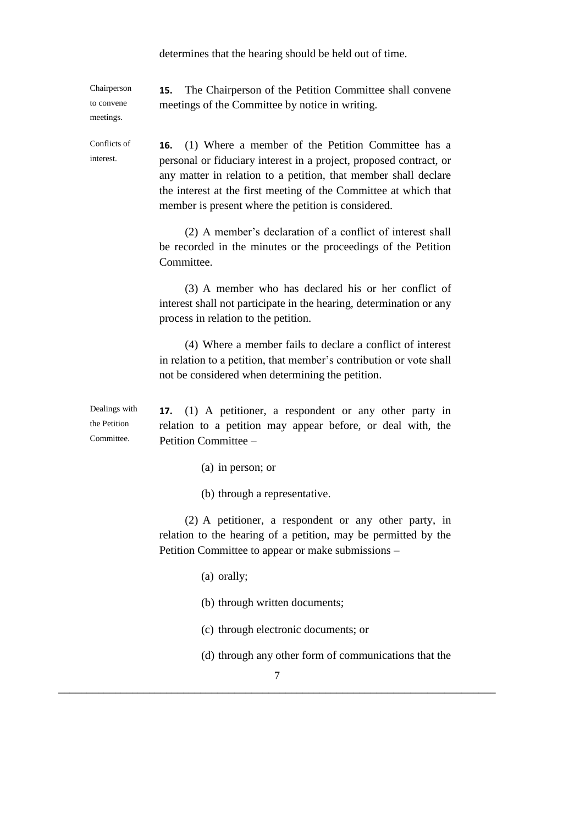determines that the hearing should be held out of time.

Chairperson to convene meetings. **15.** The Chairperson of the Petition Committee shall convene meetings of the Committee by notice in writing. Conflicts of interest. **16.** (1) Where a member of the Petition Committee has a personal or fiduciary interest in a project, proposed contract, or any matter in relation to a petition, that member shall declare the interest at the first meeting of the Committee at which that member is present where the petition is considered. (2) A member's declaration of a conflict of interest shall be recorded in the minutes or the proceedings of the Petition Committee. (3) A member who has declared his or her conflict of interest shall not participate in the hearing, determination or any process in relation to the petition. (4) Where a member fails to declare a conflict of interest in relation to a petition, that member's contribution or vote shall not be considered when determining the petition. Dealings with the Petition Committee. **17.** (1) A petitioner, a respondent or any other party in relation to a petition may appear before, or deal with, the Petition Committee – (a) in person; or (b) through a representative. (2) A petitioner, a respondent or any other party, in relation to the hearing of a petition, may be permitted by the Petition Committee to appear or make submissions – (a) orally; (b) through written documents; (c) through electronic documents; or (d) through any other form of communications that the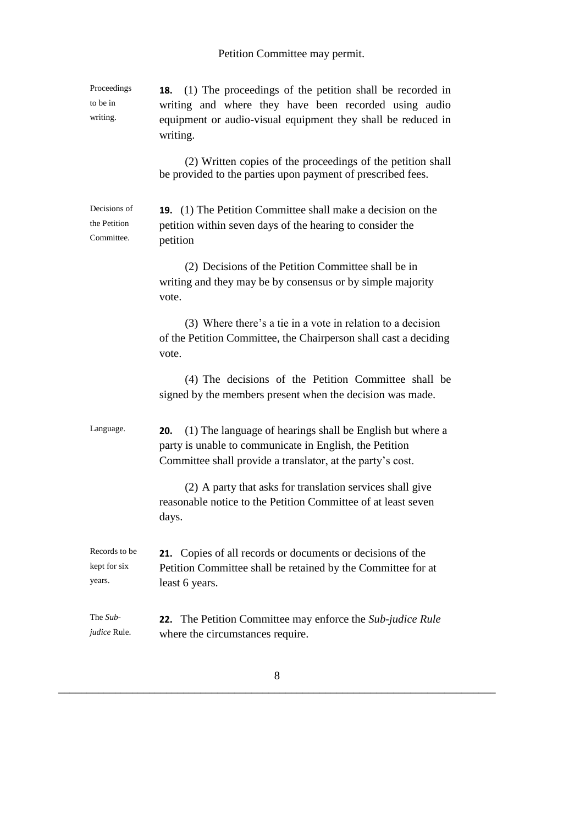| Proceedings<br>to be in<br>writing.        | <b>18.</b> (1) The proceedings of the petition shall be recorded in<br>writing and where they have been recorded using audio<br>equipment or audio-visual equipment they shall be reduced in<br>writing. |
|--------------------------------------------|----------------------------------------------------------------------------------------------------------------------------------------------------------------------------------------------------------|
|                                            | (2) Written copies of the proceedings of the petition shall<br>be provided to the parties upon payment of prescribed fees.                                                                               |
| Decisions of<br>the Petition<br>Committee. | <b>19.</b> (1) The Petition Committee shall make a decision on the<br>petition within seven days of the hearing to consider the<br>petition                                                              |
|                                            | (2) Decisions of the Petition Committee shall be in<br>writing and they may be by consensus or by simple majority<br>vote.                                                                               |
|                                            | (3) Where there's a tie in a vote in relation to a decision<br>of the Petition Committee, the Chairperson shall cast a deciding<br>vote.                                                                 |
|                                            | (4) The decisions of the Petition Committee shall be<br>signed by the members present when the decision was made.                                                                                        |
| Language.                                  | (1) The language of hearings shall be English but where a<br>20.<br>party is unable to communicate in English, the Petition<br>Committee shall provide a translator, at the party's cost.                |
|                                            | (2) A party that asks for translation services shall give<br>reasonable notice to the Petition Committee of at least seven<br>days.                                                                      |
| Records to be<br>kept for six<br>years.    | <b>21.</b> Copies of all records or documents or decisions of the<br>Petition Committee shall be retained by the Committee for at<br>least 6 years.                                                      |
| The Sub-<br><i>judice</i> Rule.            | The Petition Committee may enforce the Sub-judice Rule<br>22.<br>where the circumstances require.                                                                                                        |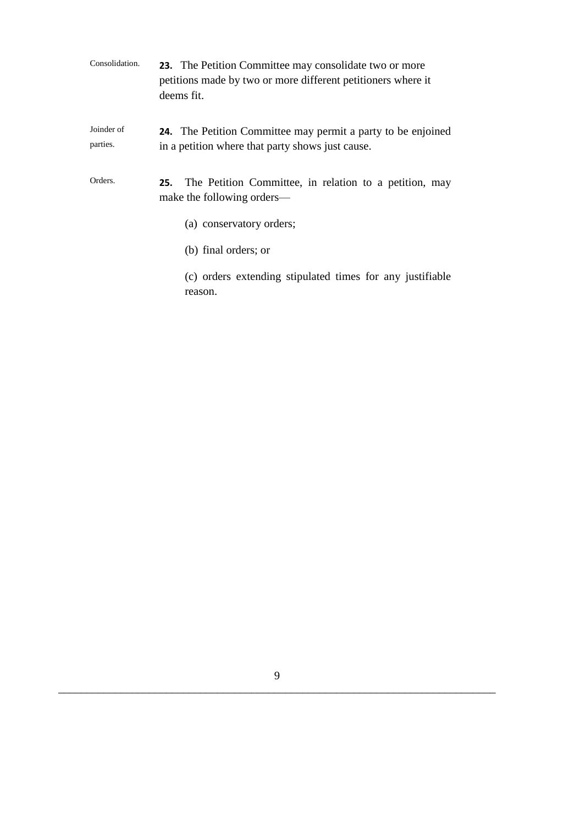| Consolidation.         | 23. The Petition Committee may consolidate two or more<br>petitions made by two or more different petitioners where it<br>deems fit. |
|------------------------|--------------------------------------------------------------------------------------------------------------------------------------|
| Joinder of<br>parties. | <b>24.</b> The Petition Committee may permit a party to be enjoined<br>in a petition where that party shows just cause.              |
| Orders.                | The Petition Committee, in relation to a petition, may<br>25.<br>make the following orders—                                          |
|                        | (a) conservatory orders;                                                                                                             |
|                        | (b) final orders; or                                                                                                                 |
|                        | (c) orders extending stipulated times for any justifiable                                                                            |

reason.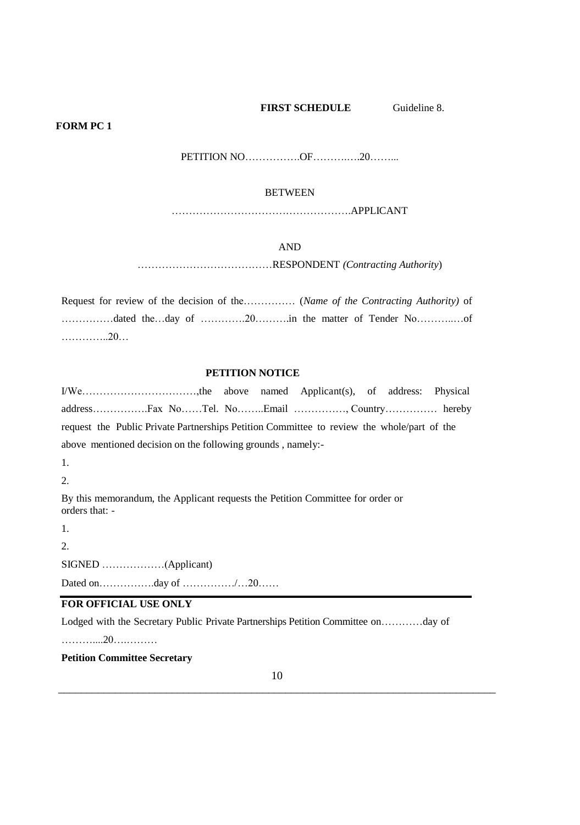#### **FIRST SCHEDULE** Guideline 8.

#### **FORM PC 1**

PETITION NO…………….OF……….….20……...

#### **BETWEEN**

…………………………………………….APPLICANT

#### AND

…………………………………RESPONDENT *(Contracting Authority*)

Request for review of the decision of the…………… (*Name of the Contracting Authority)* of ……………dated the…day of ………….20……….in the matter of Tender No………..…of …………..20…

#### **PETITION NOTICE**

I/We……………………………,the above named Applicant(s), of address: Physical address…………….Fax No……Tel. No……..Email ……………, Country…………… hereby request the Public Private Partnerships Petition Committee to review the whole/part of the above mentioned decision on the following grounds , namely:-

1.

2.

By this memorandum, the Applicant requests the Petition Committee for order or orders that: -

1.

2.

SIGNED ………………(Applicant)

Dated on…………….day of ……………/…20……

# **FOR OFFICIAL USE ONLY**

Lodged with the Secretary Public Private Partnerships Petition Committee on…………day of

………....20….………

# **Petition Committee Secretary**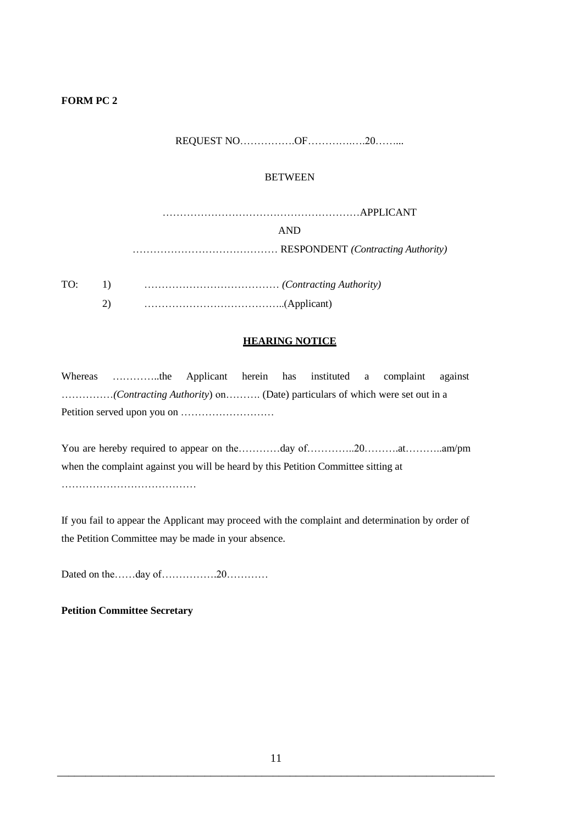# **FORM PC 2**

# REQUEST NO…………….OF………….….20……...

#### **BETWEEN**

| AND. |
|------|
|      |

TO: 1) ………………………………… *(Contracting Authority)* 2) …………………………………..(Applicant)

### **HEARING NOTICE**

Whereas …………..the Applicant herein has instituted a complaint against ……………*(Contracting Authority*) on………. (Date) particulars of which were set out in a Petition served upon you on ………………………

You are hereby required to appear on the…………day of…………20………..at………..am/pm when the complaint against you will be heard by this Petition Committee sitting at

…………………………………

If you fail to appear the Applicant may proceed with the complaint and determination by order of the Petition Committee may be made in your absence.

Dated on the……day of…………….20…………

### **Petition Committee Secretary**